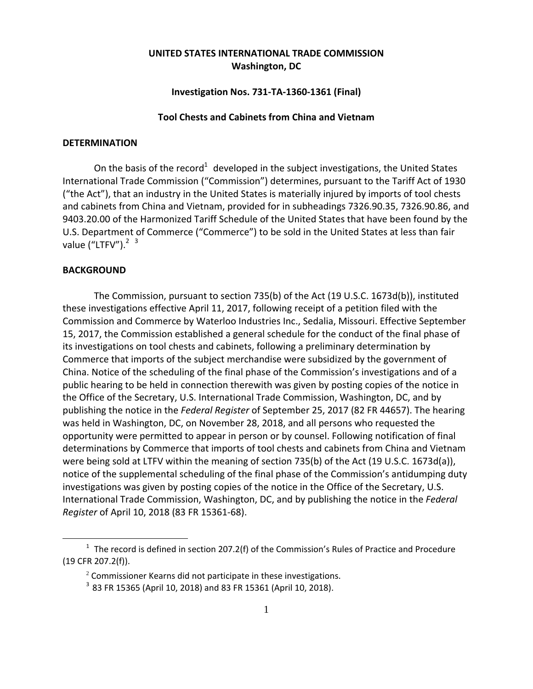# **UNITED STATES INTERNATIONAL TRADE COMMISSION Washington, DC**

# **Investigation Nos. 731‐TA‐1360‐1361 (Final)**

#### **Tool Chests and Cabinets from China and Vietnam**

### **DETERMINATION**

On the basis of the record<sup>1</sup> developed in the subject investigations, the United States International Trade Commission ("Commission") determines, pursuant to the Tariff Act of 1930 ("the Act"), that an industry in the United States is materially injured by imports of tool chests and cabinets from China and Vietnam, provided for in subheadings 7326.90.35, 7326.90.86, and 9403.20.00 of the Harmonized Tariff Schedule of the United States that have been found by the U.S. Department of Commerce ("Commerce") to be sold in the United States at less than fair value ("LTFV"). $2<sup>3</sup>$ 

## **BACKGROUND**

1

The Commission, pursuant to section 735(b) of the Act (19 U.S.C. 1673d(b)), instituted these investigations effective April 11, 2017, following receipt of a petition filed with the Commission and Commerce by Waterloo Industries Inc., Sedalia, Missouri. Effective September 15, 2017, the Commission established a general schedule for the conduct of the final phase of its investigations on tool chests and cabinets, following a preliminary determination by Commerce that imports of the subject merchandise were subsidized by the government of China. Notice of the scheduling of the final phase of the Commission's investigations and of a public hearing to be held in connection therewith was given by posting copies of the notice in the Office of the Secretary, U.S. International Trade Commission, Washington, DC, and by publishing the notice in the *Federal Register* of September 25, 2017 (82 FR 44657). The hearing was held in Washington, DC, on November 28, 2018, and all persons who requested the opportunity were permitted to appear in person or by counsel. Following notification of final determinations by Commerce that imports of tool chests and cabinets from China and Vietnam were being sold at LTFV within the meaning of section 735(b) of the Act (19 U.S.C. 1673d(a)), notice of the supplemental scheduling of the final phase of the Commission's antidumping duty investigations was given by posting copies of the notice in the Office of the Secretary, U.S. International Trade Commission, Washington, DC, and by publishing the notice in the *Federal Register* of April 10, 2018 (83 FR 15361‐68).

 $1$  The record is defined in section 207.2(f) of the Commission's Rules of Practice and Procedure (19 CFR 207.2(f)).

 $2$  Commissioner Kearns did not participate in these investigations.

<sup>3</sup> 83 FR 15365 (April 10, 2018) and 83 FR 15361 (April 10, 2018).